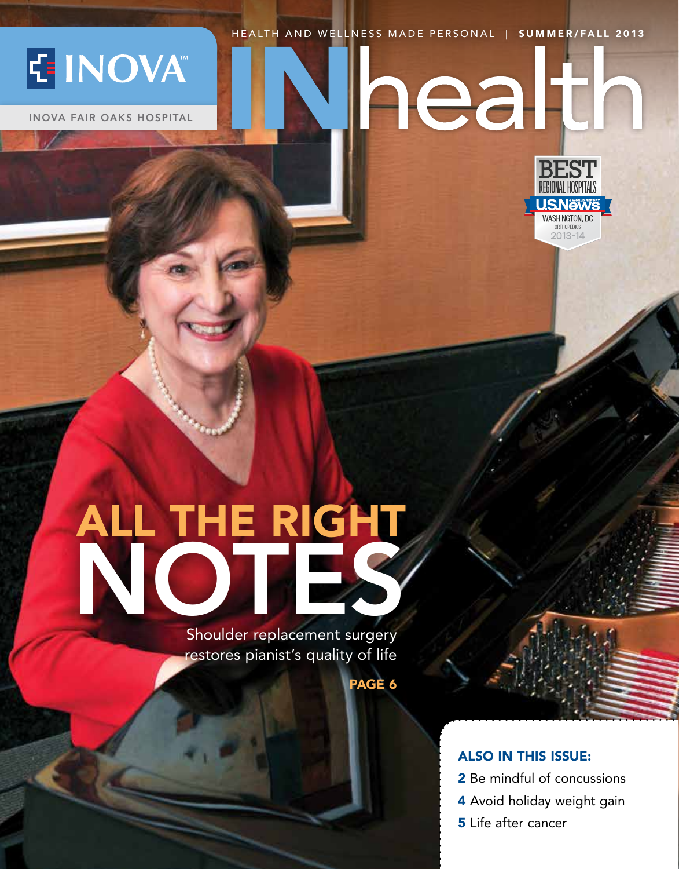HEALTH AND WELLNESS MADE PERSONAL | SUMMER/FALL 2013

hean



INOVA FAIR OAKS HOSPITAL



## ALL THE RIGHT NOTES,

Shoulder replacement surgery restores pianist's quality of life

PAGE 6

### ALSO IN THIS ISSUE:

- 2 Be mindful of concussions
- 4 Avoid holiday weight gain
- **5** Life after cancer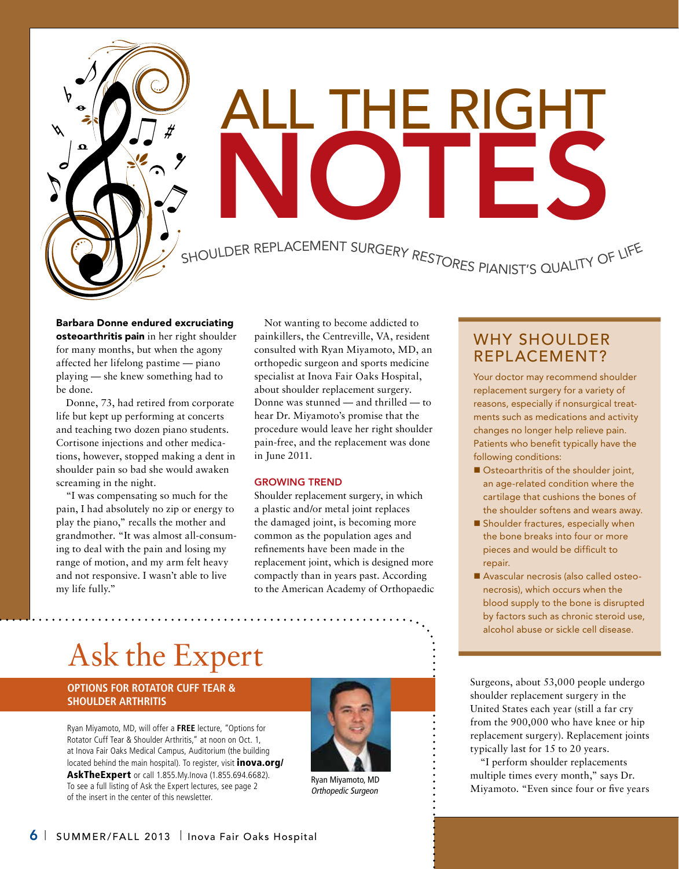

# ALL THE RIGHT IOT I

SHOULDER REPLACEMENT SURGERY RESTORES PIANIST'S QUALITY OF LIFE

### Barbara Donne endured excruciating

osteoarthritis pain in her right shoulder for many months, but when the agony affected her lifelong pastime — piano playing — she knew something had to be done.

Donne, 73, had retired from corporate life but kept up performing at concerts and teaching two dozen piano students. Cortisone injections and other medications, however, stopped making a dent in shoulder pain so bad she would awaken screaming in the night.

"I was compensating so much for the pain, I had absolutely no zip or energy to play the piano," recalls the mother and grandmother. "It was almost all-consuming to deal with the pain and losing my range of motion, and my arm felt heavy and not responsive. I wasn't able to live my life fully."

Not wanting to become addicted to painkillers, the Centreville, VA, resident consulted with Ryan Miyamoto, MD, an orthopedic surgeon and sports medicine specialist at Inova Fair Oaks Hospital, about shoulder replacement surgery. Donne was stunned — and thrilled — to hear Dr. Miyamoto's promise that the procedure would leave her right shoulder pain-free, and the replacement was done in June 2011.

### Growing Trend

Shoulder replacement surgery, in which a plastic and/or metal joint replaces the damaged joint, is becoming more common as the population ages and refinements have been made in the replacement joint, which is designed more compactly than in years past. According to the American Academy of Orthopaedic

### WHY SHOULDER Replacement?

Your doctor may recommend shoulder replacement surgery for a variety of reasons, especially if nonsurgical treatments such as medications and activity changes no longer help relieve pain. Patients who benefit typically have the following conditions:

- $\blacksquare$  Osteoarthritis of the shoulder joint, an age-related condition where the cartilage that cushions the bones of the shoulder softens and wears away.
- $\blacksquare$  Shoulder fractures, especially when the bone breaks into four or more pieces and would be difficult to repair.
- Avascular necrosis (also called osteonecrosis), which occurs when the blood supply to the bone is disrupted by factors such as chronic steroid use, alcohol abuse or sickle cell disease.

### Ask the Expert

### **Options for Rotator Cuff Tear & Shoulder Arthritis**

Ryan Miyamoto, MD, will offer a **FREE** lecture, "Options for Rotator Cuff Tear & Shoulder Arthritis," at noon on Oct. 1, at Inova Fair Oaks Medical Campus, Auditorium (the building located behind the main hospital). To register, visit *inova.org/* AskTheExpert or call 1.855.My.Inova (1.855.694.6682). To see a full listing of Ask the Expert lectures, see page 2 of the insert in the center of this newsletter.



Orthopedic Surgeon

Surgeons, about 53,000 people undergo shoulder replacement surgery in the United States each year (still a far cry from the 900,000 who have knee or hip replacement surgery). Replacement joints typically last for 15 to 20 years.

"I perform shoulder replacements multiple times every month," says Dr. Ryan Miyamoto, MD<br>
Orthopedic Surgeon 
Continued is the Miyamoto. "Even since four or five years